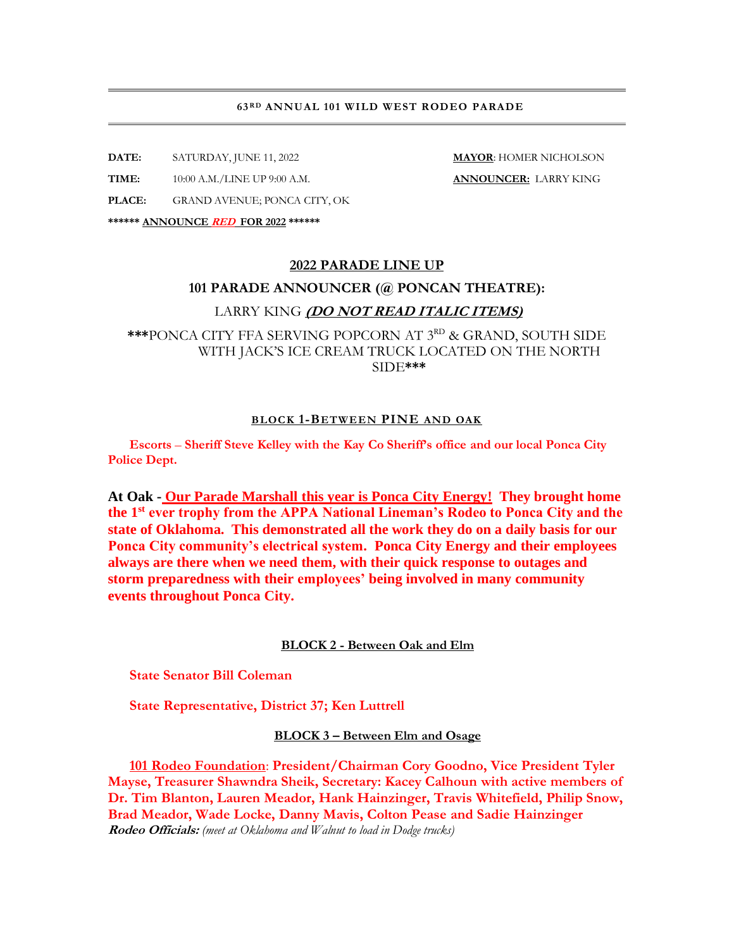#### **63RD ANNUAL 101 WILD WEST RODEO PARADE**

**DATE:** SATURDAY, JUNE 11, 2022 **MAYOR**: HOMER NICHOLSON

**TIME:** 10:00 A.M./LINE UP 9:00 A.M. **ANNOUNCER:** LARRY KING

**PLACE:** GRAND AVENUE; PONCA CITY, OK

**\*\*\*\*\*\* ANNOUNCE RED FOR 2022 \*\*\*\*\*\***

# **2022 PARADE LINE UP**

#### **101 PARADE ANNOUNCER (@ PONCAN THEATRE):**

## LARRY KING **(DO NOT READ ITALIC ITEMS)**

**\*\*\***PONCA CITY FFA SERVING POPCORN AT 3 RD & GRAND, SOUTH SIDE WITH JACK'S ICE CREAM TRUCK LOCATED ON THE NORTH SIDE**\*\*\***

#### **BLOCK 1-BETWEEN PINE AND OAK**

**Escorts** – **Sheriff Steve Kelley with the Kay Co Sheriff's office and our local Ponca City Police Dept.**

**At Oak - Our Parade Marshall this year is Ponca City Energy! They brought home the 1st ever trophy from the APPA National Lineman's Rodeo to Ponca City and the state of Oklahoma. This demonstrated all the work they do on a daily basis for our Ponca City community's electrical system. Ponca City Energy and their employees always are there when we need them, with their quick response to outages and storm preparedness with their employees' being involved in many community events throughout Ponca City.**

## **BLOCK 2 - Between Oak and Elm**

**State Senator Bill Coleman**

**State Representative, District 37; Ken Luttrell**

**BLOCK 3 – Between Elm and Osage**

**101 Rodeo Foundation**: **President/Chairman Cory Goodno, Vice President Tyler Mayse, Treasurer Shawndra Sheik, Secretary: Kacey Calhoun with active members of Dr. Tim Blanton, Lauren Meador, Hank Hainzinger, Travis Whitefield, Philip Snow, Brad Meador, Wade Locke, Danny Mavis, Colton Pease and Sadie Hainzinger Rodeo Officials:** *(meet at Oklahoma and Walnut to load in Dodge trucks)*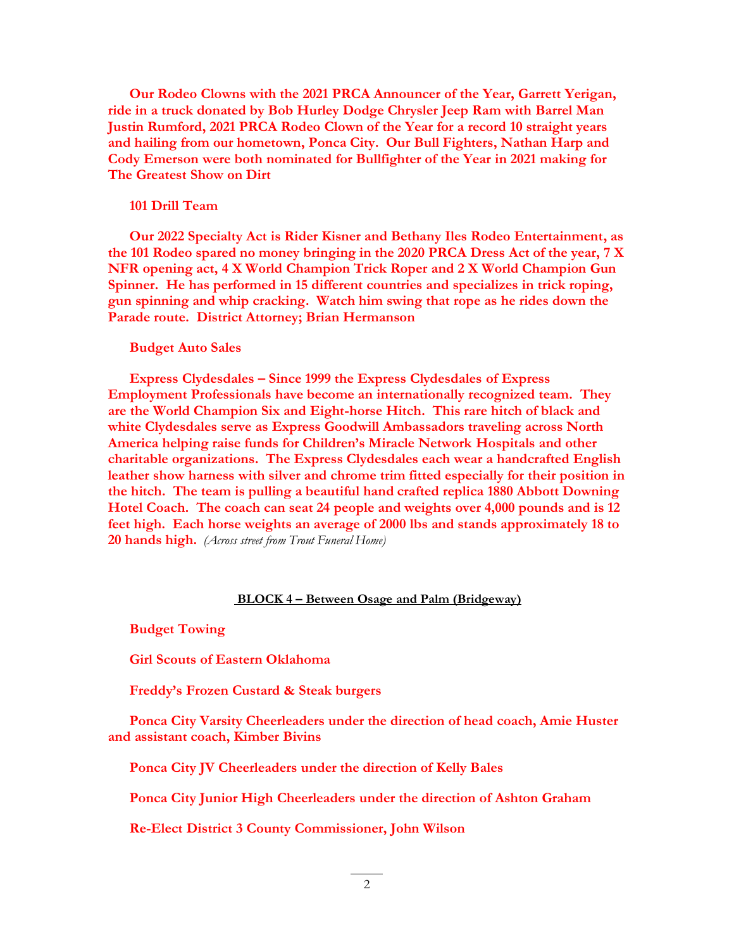**Our Rodeo Clowns with the 2021 PRCA Announcer of the Year, Garrett Yerigan, ride in a truck donated by Bob Hurley Dodge Chrysler Jeep Ram with Barrel Man Justin Rumford, 2021 PRCA Rodeo Clown of the Year for a record 10 straight years and hailing from our hometown, Ponca City. Our Bull Fighters, Nathan Harp and Cody Emerson were both nominated for Bullfighter of the Year in 2021 making for The Greatest Show on Dirt**

### **101 Drill Team**

**Our 2022 Specialty Act is Rider Kisner and Bethany Iles Rodeo Entertainment, as the 101 Rodeo spared no money bringing in the 2020 PRCA Dress Act of the year, 7 X NFR opening act, 4 X World Champion Trick Roper and 2 X World Champion Gun Spinner. He has performed in 15 different countries and specializes in trick roping, gun spinning and whip cracking. Watch him swing that rope as he rides down the Parade route. District Attorney; Brian Hermanson**

#### **Budget Auto Sales**

**Express Clydesdales – Since 1999 the Express Clydesdales of Express Employment Professionals have become an internationally recognized team. They are the World Champion Six and Eight-horse Hitch. This rare hitch of black and white Clydesdales serve as Express Goodwill Ambassadors traveling across North America helping raise funds for Children's Miracle Network Hospitals and other charitable organizations. The Express Clydesdales each wear a handcrafted English leather show harness with silver and chrome trim fitted especially for their position in the hitch. The team is pulling a beautiful hand crafted replica 1880 Abbott Downing Hotel Coach. The coach can seat 24 people and weights over 4,000 pounds and is 12 feet high. Each horse weights an average of 2000 lbs and stands approximately 18 to 20 hands high.** *(Across street from Trout Funeral Home)*

## **BLOCK 4 – Between Osage and Palm (Bridgeway)**

**Budget Towing**

**Girl Scouts of Eastern Oklahoma**

**Freddy's Frozen Custard & Steak burgers**

**Ponca City Varsity Cheerleaders under the direction of head coach, Amie Huster and assistant coach, Kimber Bivins**

**Ponca City JV Cheerleaders under the direction of Kelly Bales**

**Ponca City Junior High Cheerleaders under the direction of Ashton Graham**

**Re-Elect District 3 County Commissioner, John Wilson**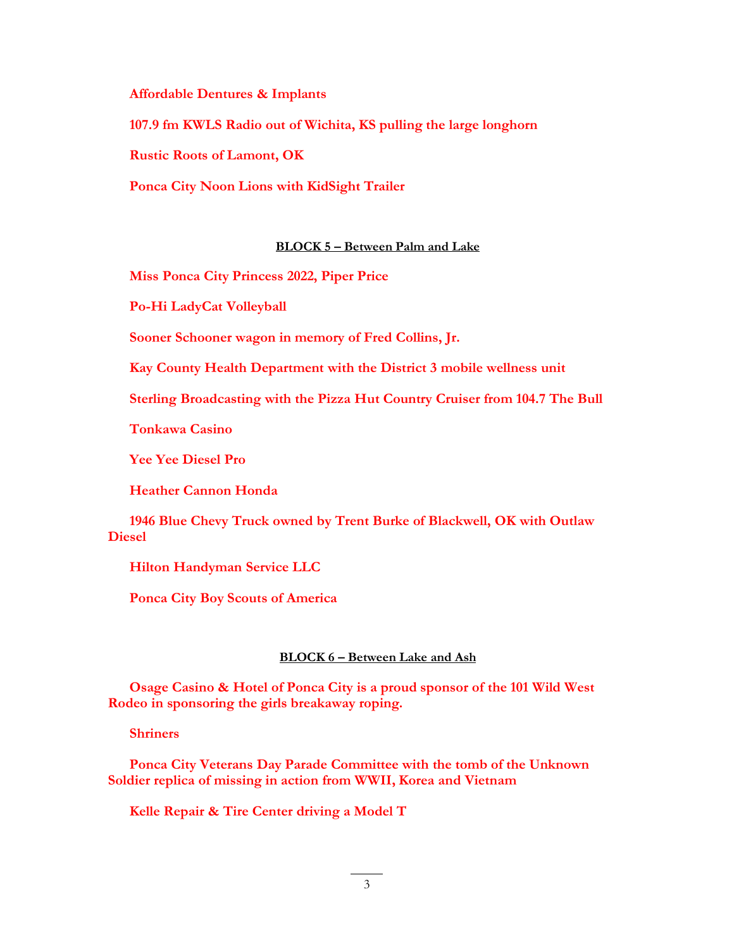**Affordable Dentures & Implants**

**107.9 fm KWLS Radio out of Wichita, KS pulling the large longhorn** 

**Rustic Roots of Lamont, OK**

**Ponca City Noon Lions with KidSight Trailer**

## **BLOCK 5 – Between Palm and Lake**

**Miss Ponca City Princess 2022, Piper Price**

**Po-Hi LadyCat Volleyball**

**Sooner Schooner wagon in memory of Fred Collins, Jr.** 

**Kay County Health Department with the District 3 mobile wellness unit**

**Sterling Broadcasting with the Pizza Hut Country Cruiser from 104.7 The Bull**

**Tonkawa Casino**

**Yee Yee Diesel Pro**

**Heather Cannon Honda**

**1946 Blue Chevy Truck owned by Trent Burke of Blackwell, OK with Outlaw Diesel**

**Hilton Handyman Service LLC** 

**Ponca City Boy Scouts of America**

## **BLOCK 6 – Between Lake and Ash**

**Osage Casino & Hotel of Ponca City is a proud sponsor of the 101 Wild West Rodeo in sponsoring the girls breakaway roping.**

**Shriners**

**Ponca City Veterans Day Parade Committee with the tomb of the Unknown Soldier replica of missing in action from WWII, Korea and Vietnam**

**Kelle Repair & Tire Center driving a Model T**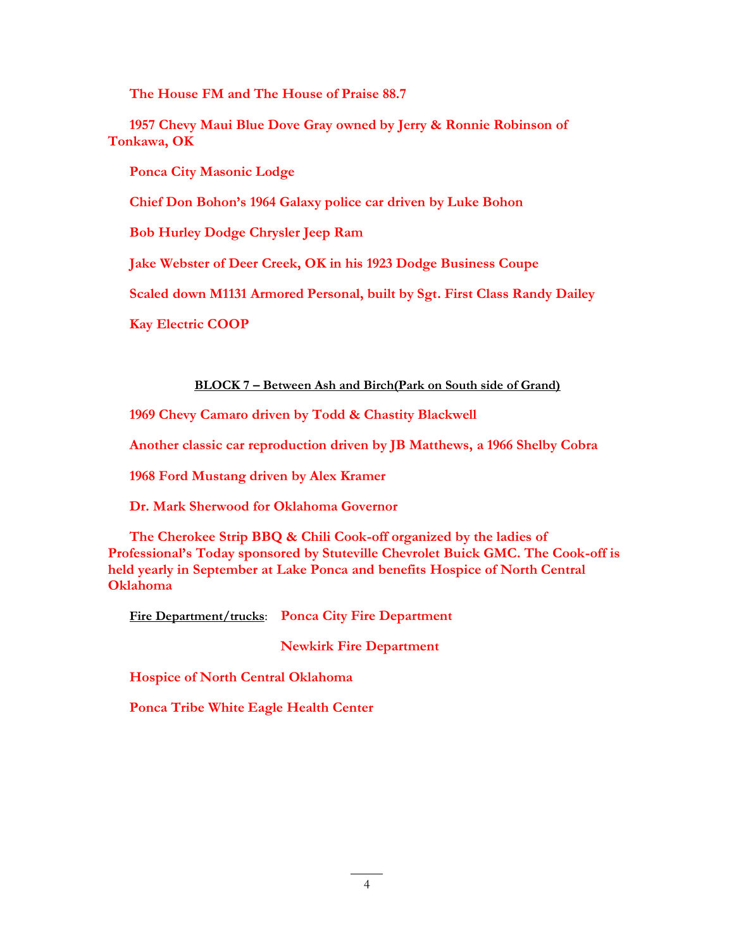**The House FM and The House of Praise 88.7**

**1957 Chevy Maui Blue Dove Gray owned by Jerry & Ronnie Robinson of Tonkawa, OK**

**Ponca City Masonic Lodge**

**Chief Don Bohon's 1964 Galaxy police car driven by Luke Bohon**

**Bob Hurley Dodge Chrysler Jeep Ram** 

**Jake Webster of Deer Creek, OK in his 1923 Dodge Business Coupe**

**Scaled down M1131 Armored Personal, built by Sgt. First Class Randy Dailey** 

**Kay Electric COOP**

# **BLOCK 7 – Between Ash and Birch(Park on South side of Grand)**

**1969 Chevy Camaro driven by Todd & Chastity Blackwell**

**Another classic car reproduction driven by JB Matthews, a 1966 Shelby Cobra**

**1968 Ford Mustang driven by Alex Kramer**

**Dr. Mark Sherwood for Oklahoma Governor**

**The Cherokee Strip BBQ & Chili Cook-off organized by the ladies of Professional's Today sponsored by Stuteville Chevrolet Buick GMC. The Cook-off is held yearly in September at Lake Ponca and benefits Hospice of North Central Oklahoma**

**Fire Department/trucks**: **Ponca City Fire Department**

**Newkirk Fire Department**

**Hospice of North Central Oklahoma**

**Ponca Tribe White Eagle Health Center**